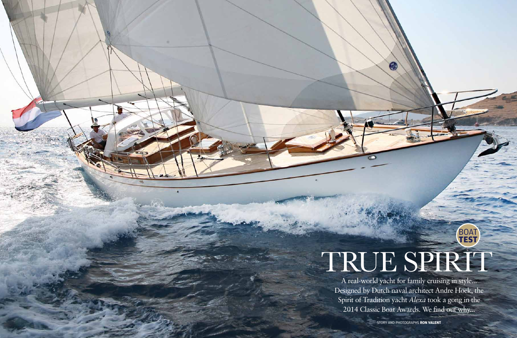

A real-world yacht for family cruising in style... Designed by Dutch naval architect Andre Hoek, the Spirit of Tradition yacht *Alexa* took a gong in the 2014 Classic Boat Awards. We find out why...

# **TEST** TRUE SPIRTT

BO<sub>1</sub>

story and Photographs **RON VALeNT**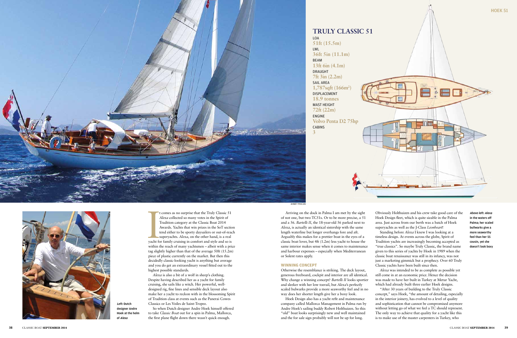AHMET PEKCAN



Branch<br>
yacht fc t comes as no surprise that the Truly Classic 51 *Alexa* collected so many votes in the Spirit of Tradition category at the Classic Boat 2014 Awards. Yachts that win prizes in the SoT section tend either to be sporty daysailers or out-of-reach superyachts. *Alexa*, on the other hand, is a real yacht for family cruising in comfort and style and so is within the reach of many yachtsmen – albeit with a price tag slightly higher than that of the average 50ft (15.2m) piece of plastic currently on the market. But then this decidedly classic-looking yacht is anything but average and you do get an extraordinary vessel fitted out to the highest possible standards.

**BEAM 13ft 6in (4.1m)** Draught **7ft 3in (2.2m)**  SAIL AREA **1,787sqft (166m2 )** DiSPLacement **18.9 tonnes** MAST HEIGHT **72ft (22m)** ENGINE **Volvo Penta D2 75hp** CABINS **3**



*Alexa* is also a bit of a wolf in sheep's clothing. Despite having described her as a yacht for family cruising, she sails like a witch. Her powerful, welldesigned rig, fine lines and sensible deck layout also make her a yacht to reckon with in the blossoming Spirit of Tradition class at events such as the Panerai Cowes Classics or Les Voiles de Saint-Tropez.

So when Dutch designer Andre Hoek himself offered to take *Classic Boat* out for a spin in Palma, Mallorca, the first plane flight down there wasn't quick enough.



LOA **51ft (15.5m)** LWL **36ft 5in (11.1m) TRULY CLASSIC 51**

Arriving on the dock in Palma I am met by the sight of not one, but two TC51s. Or to be more precise, a 51 and a 56. *Bartelli II*, the 18-year-old 56 parked next to *Alexa*, is actually an identical sistership with the same length waterline but longer overhangs fore and aft. Arguably this makes for a prettier boat in the eyes of a classic boat lover, but 4ft (1.2m) less yacht to house the same interior makes sense when it comes to maintenance and harbour expenses – especially when Mediterranean or Solent rates apply.

### **winning concept**

Otherwise the resemblance is striking. The deck layout, generous freeboard, cockpit and interior are all identical. Why change a winning concept? *Bartelli II* looks sportier and sleeker with her low toerail, but *Alexa*'s perfectly scaled bulwarks provide a more seaworthy feel and in no way does her shorter length give her a boxy look.

Hoek Design also has a yacht refit and maintenance company called Mallorca Management in Palma run by Andre Hoek's sailing buddy Robert Holthuizen. So this "old" boat looks surprisingly new and well maintained and the for sale sign probably will not be up for long.

Obviously Holthuizen and his crew take good care of the Hoek Design fleet, which is quite sizable in the Palma area. Just across from our berth was a batch of Hoek superyachts as well as the J-Class *Lionheart*!

Standing before *Alexa* I knew I was looking at a timeless design. At events across the globe, Spirit of Tradition yachts are increasingly becoming accepted as "true classics". So maybe Truly Classic, the brand name given to this series of yachts by Hoek in 1989 when the classic boat renaissance was still in its infancy, was not just a marketing gimmick but a prophecy. Over 60 Truly Classic yachts have been built since then.

*Alexa* was intended to be as complete as possible yet still come in at an economic price. Hence the decision was made to have her built in Turkey at Metur Yacht, which had already built three earlier Hoek designs.

"After 30 years of building to the Truly Classic concept," says Hoek, "the amount of detailing, especially in the interior joinery, has evolved to a level of quality and sophistication that cannot be compromised anymore without letting go of what we feel a TC should represent. The only way to achieve that quality for a yacht like this is to make use of the master carpenters in Turkey, who

Above left: Alexa in the waters off Palma; her scaled bullwarks give a more seaworthy feel than her 55 cousin, yet she doesn't look boxy

Left: Dutch designer Andre Hoek at the helm of Alexa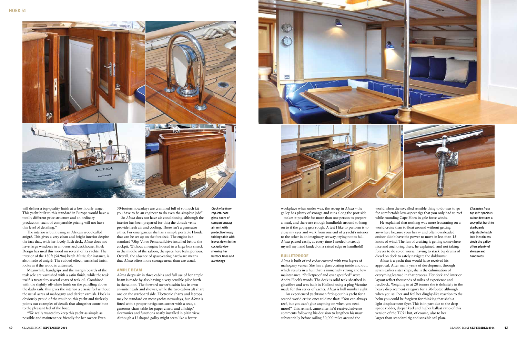





will deliver a top-quality finish at a low hourly wage. This yacht built to this standard in Europe would have a totally different price structure and an ordinary production yacht of comparable pricing will not have this level of detailing."

The interior is built using an African wood called anigré. This gives a very clean and bright interior despite the fact that, with her lovely flush deck, *Alexa* does not have large windows in an oversized deckhouse. Hoek Design has used this wood on several of its yachts. The interior of the 180ft (54.9m) ketch *Marie*, for instance, is also made of anigré. The rubbed-effect, varnished finish looks as if the wood is untreated.

Meanwhile, handgrips and the margin boards of the teak sole are varnished with a satin finish, while the teak itself is treated to several coats of teak oil. Combined with the slightly off-white finish on the panelling above the dado rails, this gives the interior a classic feel without the usual acres of mahogany and darker varnish. Hoek is obviously proud of the result on this yacht and tirelessly points out examples of details that altogether contribute to the pleasant feel of the boat.

"We really wanted to keep this yacht as simple as possible and maintenance friendly for her owner. Even Clockwise from

top left: note glass doors of companionway; air vent with protective hoop; folding table with leaves down in the cockpit; view showing her buttock lines and overhangs

50-footers nowadays are crammed full of so much kit you have to be an engineer to do even the simplest job!" So *Alexa* does not have air conditioning, although the interior has been prepared for this; the dorade vents provide fresh air and cooling. There isn't a generator either. For emergencies she has a simple portable Honda that can be set up on the foredeck. The engine is a standard 75hp Volvo Penta saildrive installed below the cockpit. Without an engine housed in a large box smack in the middle of the saloon, the space here feels glorious. Overall, the absence of space-eating hardware means that *Alexa* offers more storage areas than are usual.

#### **ample beam**

*Alexa* sleeps six in three cabins and full use of her ample beam is made by also having a very sensible pilot berth in the saloon. The forward owner's cabin has its own en-suite heads and shower, while the two cabins aft share one on the starboard side. Electronic charts and laptops may be standard on most yachts nowadays, but *Alexa* is fitted with a proper navigators corner with a seat, a generous chart table for paper charts and all ships' electronics and functions neatly installed in plain view. Although a U-shaped galley might seem like a better

workplace when under way, the set-up in Alexa – the galley has plenty of storage and runs along the port side – makes it possible for more than one person to prepare a meal, and there are enough handholds around to hang on to if the going gets rough. A test I like to perform is to close my eyes and walk from one end of a yacht's interior to the other in an imaginary seaway, trying not to fall. *Alexa* passed easily, as every time I needed to steady myself my hand landed on a raised edge or handhold!

### **bulletproof**

*Alexa* is built of red cedar covered with two layers of mahogany veneer. She has a glass coating inside and out, which results in a hull that is immensely strong and low maintenance. "Bulletproof and over specified" were Andre Hoek's words. The deck is solid teak sheathed in glassfibre and was built in Holland using a plug Victoire made for this series of yachts. *Alexa* is hull number eight.

An experienced yachtsman fitting out his yacht for a second world cruise once told me that: "You can always reef, but you can't glue anything on when you need more!" This remark came after he'd received adverse comments following his decision to lengthen his mast substantially before sailing 30,000 miles around the

world when the so-called sensible thing to do was to go for comfortable low-aspect rigs that you only had to reef while rounding Cape Horn in gale-force winds.

He explained that nothing was more frustrating on a world cruise than to float around without getting anywhere because your heavy and often overloaded cruiser didn't have the power to move in less than 15 knots of wind. The fun of cruising is getting somewhere nice and anchoring there, he explained, and not taking forever to do so or, worse, having to stack big drums of diesel on deck to safely navigate the doldrums!

*Alexa* is a yacht that would have received his approval. After many years of development through seven earlier sister ships, she is the culmination of everything learned in that process. Her deck and interior layout reflect thousands of miles of experience and feedback. Weighing in at 20 tonnes she is definitely in the heavy displacement category for a 50-footer, although when you sail her and feel her dinghy-like reaction to the helm you could be forgiven for thinking that she's a light-displacement flyer. This is in part due to the deep spade rudder, deeper keel and higher ballast ratio of this version of the TC51 but, of course, also to her larger-than-standard rig and sensible sail plan.

Clockwise from top left: spacious saloon features a cosy pilot berth to starboard; adjustable hatch lock in stainless steel; the galley offers plenty of storage and handholds